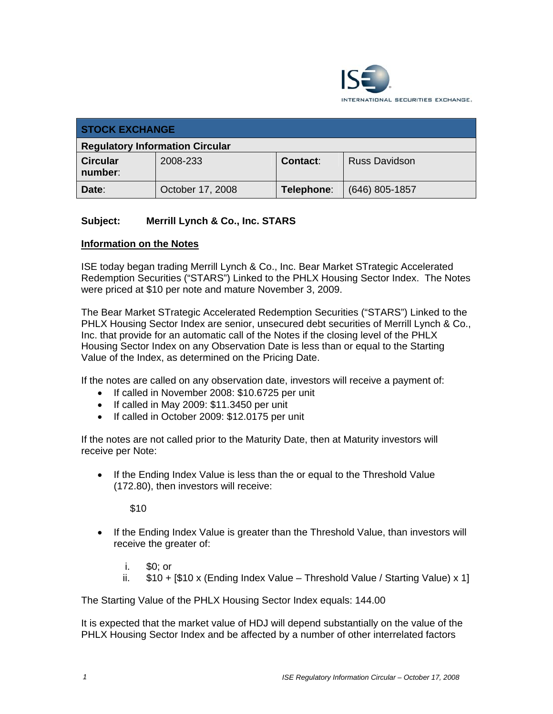

| <b>STOCK EXCHANGE</b>                  |                  |                 |                      |  |  |
|----------------------------------------|------------------|-----------------|----------------------|--|--|
| <b>Regulatory Information Circular</b> |                  |                 |                      |  |  |
| <b>Circular</b><br>number:             | 2008-233         | <b>Contact:</b> | <b>Russ Davidson</b> |  |  |
| Date:                                  | October 17, 2008 | Telephone:      | $(646)$ 805-1857     |  |  |

## **Subject: Merrill Lynch & Co., Inc. STARS**

## **Information on the Notes**

ISE today began trading Merrill Lynch & Co., Inc. Bear Market STrategic Accelerated Redemption Securities ("STARS") Linked to the PHLX Housing Sector Index. The Notes were priced at \$10 per note and mature November 3, 2009.

The Bear Market STrategic Accelerated Redemption Securities ("STARS") Linked to the PHLX Housing Sector Index are senior, unsecured debt securities of Merrill Lynch & Co., Inc. that provide for an automatic call of the Notes if the closing level of the PHLX Housing Sector Index on any Observation Date is less than or equal to the Starting Value of the Index, as determined on the Pricing Date.

If the notes are called on any observation date, investors will receive a payment of:

- If called in November 2008: \$10.6725 per unit
- If called in May 2009: \$11.3450 per unit
- If called in October 2009: \$12.0175 per unit

If the notes are not called prior to the Maturity Date, then at Maturity investors will receive per Note:

• If the Ending Index Value is less than the or equal to the Threshold Value (172.80), then investors will receive:

\$10

- If the Ending Index Value is greater than the Threshold Value, than investors will receive the greater of:
	- i. \$0; or
	- ii.  $$10 + [$10 x (Ending Index Value Threshold Value / Starting Value) x 1]$

The Starting Value of the PHLX Housing Sector Index equals: 144.00

It is expected that the market value of HDJ will depend substantially on the value of the PHLX Housing Sector Index and be affected by a number of other interrelated factors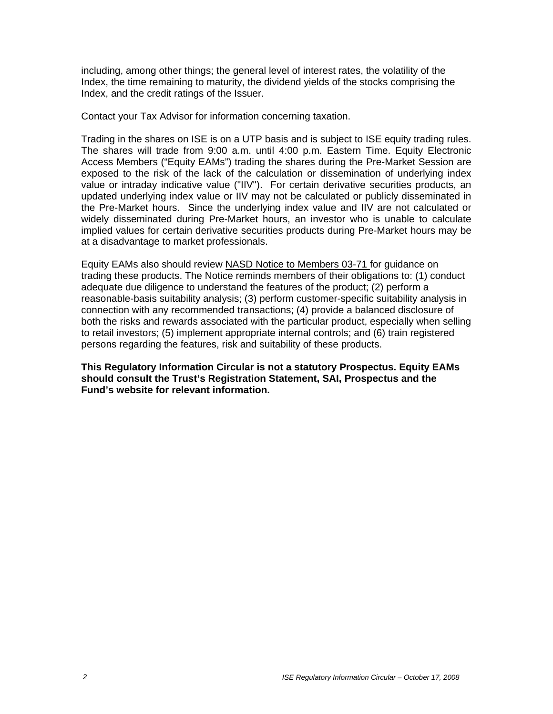including, among other things; the general level of interest rates, the volatility of the Index, the time remaining to maturity, the dividend yields of the stocks comprising the Index, and the credit ratings of the Issuer.

Contact your Tax Advisor for information concerning taxation.

Trading in the shares on ISE is on a UTP basis and is subject to ISE equity trading rules. The shares will trade from 9:00 a.m. until 4:00 p.m. Eastern Time. Equity Electronic Access Members ("Equity EAMs") trading the shares during the Pre-Market Session are exposed to the risk of the lack of the calculation or dissemination of underlying index value or intraday indicative value ("IIV"). For certain derivative securities products, an updated underlying index value or IIV may not be calculated or publicly disseminated in the Pre-Market hours. Since the underlying index value and IIV are not calculated or widely disseminated during Pre-Market hours, an investor who is unable to calculate implied values for certain derivative securities products during Pre-Market hours may be at a disadvantage to market professionals.

Equity EAMs also should review NASD Notice to Members 03-71 for guidance on trading these products. The Notice reminds members of their obligations to: (1) conduct adequate due diligence to understand the features of the product; (2) perform a reasonable-basis suitability analysis; (3) perform customer-specific suitability analysis in connection with any recommended transactions; (4) provide a balanced disclosure of both the risks and rewards associated with the particular product, especially when selling to retail investors; (5) implement appropriate internal controls; and (6) train registered persons regarding the features, risk and suitability of these products.

**This Regulatory Information Circular is not a statutory Prospectus. Equity EAMs should consult the Trust's Registration Statement, SAI, Prospectus and the Fund's website for relevant information.**